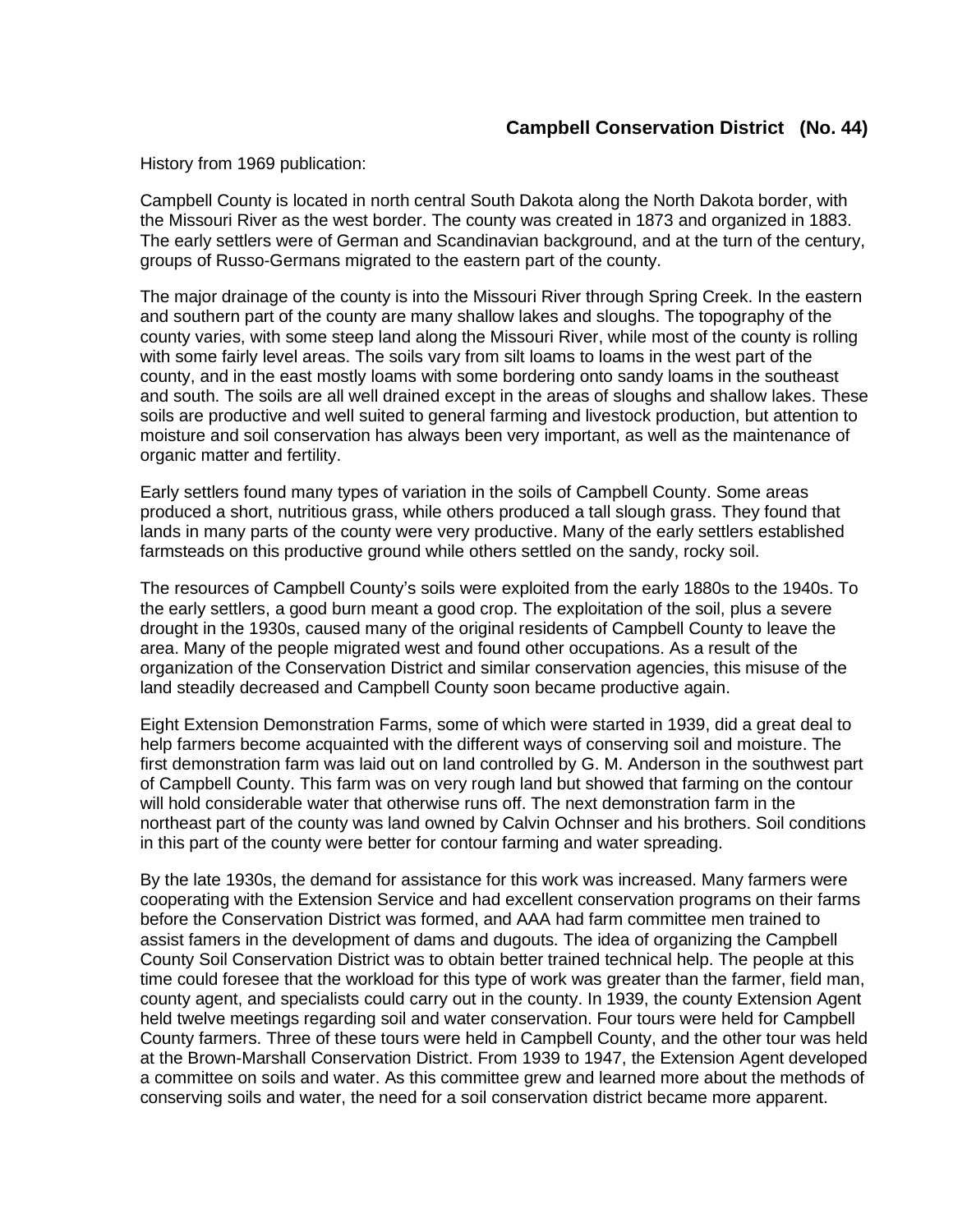## **Campbell Conservation District (No. 44)**

History from 1969 publication:

Campbell County is located in north central South Dakota along the North Dakota border, with the Missouri River as the west border. The county was created in 1873 and organized in 1883. The early settlers were of German and Scandinavian background, and at the turn of the century, groups of Russo-Germans migrated to the eastern part of the county.

The major drainage of the county is into the Missouri River through Spring Creek. In the eastern and southern part of the county are many shallow lakes and sloughs. The topography of the county varies, with some steep land along the Missouri River, while most of the county is rolling with some fairly level areas. The soils vary from silt loams to loams in the west part of the county, and in the east mostly loams with some bordering onto sandy loams in the southeast and south. The soils are all well drained except in the areas of sloughs and shallow lakes. These soils are productive and well suited to general farming and livestock production, but attention to moisture and soil conservation has always been very important, as well as the maintenance of organic matter and fertility.

Early settlers found many types of variation in the soils of Campbell County. Some areas produced a short, nutritious grass, while others produced a tall slough grass. They found that lands in many parts of the county were very productive. Many of the early settlers established farmsteads on this productive ground while others settled on the sandy, rocky soil.

The resources of Campbell County's soils were exploited from the early 1880s to the 1940s. To the early settlers, a good burn meant a good crop. The exploitation of the soil, plus a severe drought in the 1930s, caused many of the original residents of Campbell County to leave the area. Many of the people migrated west and found other occupations. As a result of the organization of the Conservation District and similar conservation agencies, this misuse of the land steadily decreased and Campbell County soon became productive again.

Eight Extension Demonstration Farms, some of which were started in 1939, did a great deal to help farmers become acquainted with the different ways of conserving soil and moisture. The first demonstration farm was laid out on land controlled by G. M. Anderson in the southwest part of Campbell County. This farm was on very rough land but showed that farming on the contour will hold considerable water that otherwise runs off. The next demonstration farm in the northeast part of the county was land owned by Calvin Ochnser and his brothers. Soil conditions in this part of the county were better for contour farming and water spreading.

By the late 1930s, the demand for assistance for this work was increased. Many farmers were cooperating with the Extension Service and had excellent conservation programs on their farms before the Conservation District was formed, and AAA had farm committee men trained to assist famers in the development of dams and dugouts. The idea of organizing the Campbell County Soil Conservation District was to obtain better trained technical help. The people at this time could foresee that the workload for this type of work was greater than the farmer, field man, county agent, and specialists could carry out in the county. In 1939, the county Extension Agent held twelve meetings regarding soil and water conservation. Four tours were held for Campbell County farmers. Three of these tours were held in Campbell County, and the other tour was held at the Brown-Marshall Conservation District. From 1939 to 1947, the Extension Agent developed a committee on soils and water. As this committee grew and learned more about the methods of conserving soils and water, the need for a soil conservation district became more apparent.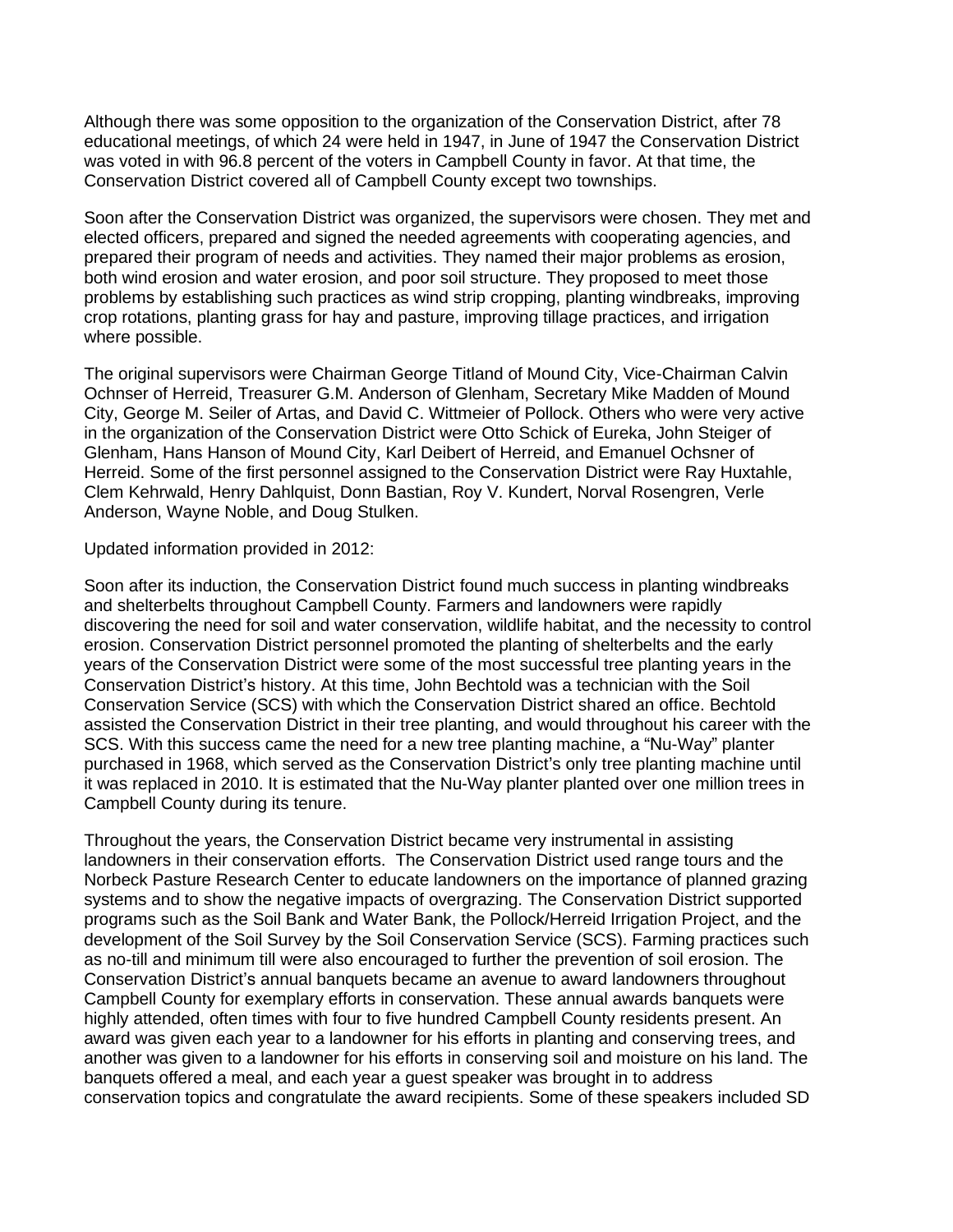Although there was some opposition to the organization of the Conservation District, after 78 educational meetings, of which 24 were held in 1947, in June of 1947 the Conservation District was voted in with 96.8 percent of the voters in Campbell County in favor. At that time, the Conservation District covered all of Campbell County except two townships.

Soon after the Conservation District was organized, the supervisors were chosen. They met and elected officers, prepared and signed the needed agreements with cooperating agencies, and prepared their program of needs and activities. They named their major problems as erosion, both wind erosion and water erosion, and poor soil structure. They proposed to meet those problems by establishing such practices as wind strip cropping, planting windbreaks, improving crop rotations, planting grass for hay and pasture, improving tillage practices, and irrigation where possible.

The original supervisors were Chairman George Titland of Mound City, Vice-Chairman Calvin Ochnser of Herreid, Treasurer G.M. Anderson of Glenham, Secretary Mike Madden of Mound City, George M. Seiler of Artas, and David C. Wittmeier of Pollock. Others who were very active in the organization of the Conservation District were Otto Schick of Eureka, John Steiger of Glenham, Hans Hanson of Mound City, Karl Deibert of Herreid, and Emanuel Ochsner of Herreid. Some of the first personnel assigned to the Conservation District were Ray Huxtahle, Clem Kehrwald, Henry Dahlquist, Donn Bastian, Roy V. Kundert, Norval Rosengren, Verle Anderson, Wayne Noble, and Doug Stulken.

Updated information provided in 2012:

Soon after its induction, the Conservation District found much success in planting windbreaks and shelterbelts throughout Campbell County. Farmers and landowners were rapidly discovering the need for soil and water conservation, wildlife habitat, and the necessity to control erosion. Conservation District personnel promoted the planting of shelterbelts and the early years of the Conservation District were some of the most successful tree planting years in the Conservation District's history. At this time, John Bechtold was a technician with the Soil Conservation Service (SCS) with which the Conservation District shared an office. Bechtold assisted the Conservation District in their tree planting, and would throughout his career with the SCS. With this success came the need for a new tree planting machine, a "Nu-Way" planter purchased in 1968, which served as the Conservation District's only tree planting machine until it was replaced in 2010. It is estimated that the Nu-Way planter planted over one million trees in Campbell County during its tenure.

Throughout the years, the Conservation District became very instrumental in assisting landowners in their conservation efforts. The Conservation District used range tours and the Norbeck Pasture Research Center to educate landowners on the importance of planned grazing systems and to show the negative impacts of overgrazing. The Conservation District supported programs such as the Soil Bank and Water Bank, the Pollock/Herreid Irrigation Project, and the development of the Soil Survey by the Soil Conservation Service (SCS). Farming practices such as no-till and minimum till were also encouraged to further the prevention of soil erosion. The Conservation District's annual banquets became an avenue to award landowners throughout Campbell County for exemplary efforts in conservation. These annual awards banquets were highly attended, often times with four to five hundred Campbell County residents present. An award was given each year to a landowner for his efforts in planting and conserving trees, and another was given to a landowner for his efforts in conserving soil and moisture on his land. The banquets offered a meal, and each year a guest speaker was brought in to address conservation topics and congratulate the award recipients. Some of these speakers included SD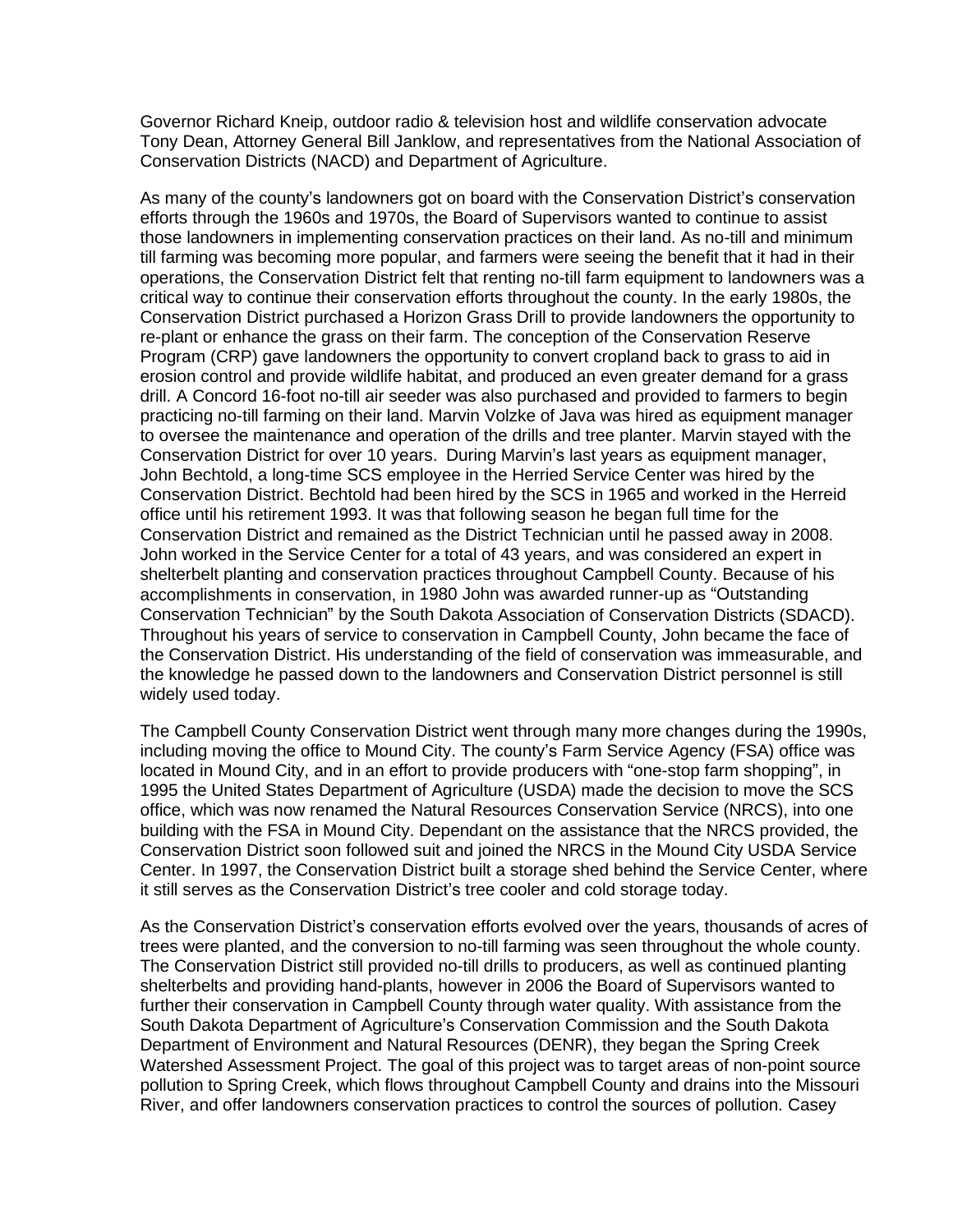Governor Richard Kneip, outdoor radio & television host and wildlife conservation advocate Tony Dean, Attorney General Bill Janklow, and representatives from the National Association of Conservation Districts (NACD) and Department of Agriculture.

As many of the county's landowners got on board with the Conservation District's conservation efforts through the 1960s and 1970s, the Board of Supervisors wanted to continue to assist those landowners in implementing conservation practices on their land. As no-till and minimum till farming was becoming more popular, and farmers were seeing the benefit that it had in their operations, the Conservation District felt that renting no-till farm equipment to landowners was a critical way to continue their conservation efforts throughout the county. In the early 1980s, the Conservation District purchased a Horizon Grass Drill to provide landowners the opportunity to re-plant or enhance the grass on their farm. The conception of the Conservation Reserve Program (CRP) gave landowners the opportunity to convert cropland back to grass to aid in erosion control and provide wildlife habitat, and produced an even greater demand for a grass drill. A Concord 16-foot no-till air seeder was also purchased and provided to farmers to begin practicing no-till farming on their land. Marvin Volzke of Java was hired as equipment manager to oversee the maintenance and operation of the drills and tree planter. Marvin stayed with the Conservation District for over 10 years. During Marvin's last years as equipment manager, John Bechtold, a long-time SCS employee in the Herried Service Center was hired by the Conservation District. Bechtold had been hired by the SCS in 1965 and worked in the Herreid office until his retirement 1993. It was that following season he began full time for the Conservation District and remained as the District Technician until he passed away in 2008. John worked in the Service Center for a total of 43 years, and was considered an expert in shelterbelt planting and conservation practices throughout Campbell County. Because of his accomplishments in conservation, in 1980 John was awarded runner-up as "Outstanding Conservation Technician" by the South Dakota Association of Conservation Districts (SDACD). Throughout his years of service to conservation in Campbell County, John became the face of the Conservation District. His understanding of the field of conservation was immeasurable, and the knowledge he passed down to the landowners and Conservation District personnel is still widely used today.

The Campbell County Conservation District went through many more changes during the 1990s, including moving the office to Mound City. The county's Farm Service Agency (FSA) office was located in Mound City, and in an effort to provide producers with "one-stop farm shopping", in 1995 the United States Department of Agriculture (USDA) made the decision to move the SCS office, which was now renamed the Natural Resources Conservation Service (NRCS), into one building with the FSA in Mound City. Dependant on the assistance that the NRCS provided, the Conservation District soon followed suit and joined the NRCS in the Mound City USDA Service Center. In 1997, the Conservation District built a storage shed behind the Service Center, where it still serves as the Conservation District's tree cooler and cold storage today.

As the Conservation District's conservation efforts evolved over the years, thousands of acres of trees were planted, and the conversion to no-till farming was seen throughout the whole county. The Conservation District still provided no-till drills to producers, as well as continued planting shelterbelts and providing hand-plants, however in 2006 the Board of Supervisors wanted to further their conservation in Campbell County through water quality. With assistance from the South Dakota Department of Agriculture's Conservation Commission and the South Dakota Department of Environment and Natural Resources (DENR), they began the Spring Creek Watershed Assessment Project. The goal of this project was to target areas of non-point source pollution to Spring Creek, which flows throughout Campbell County and drains into the Missouri River, and offer landowners conservation practices to control the sources of pollution. Casey